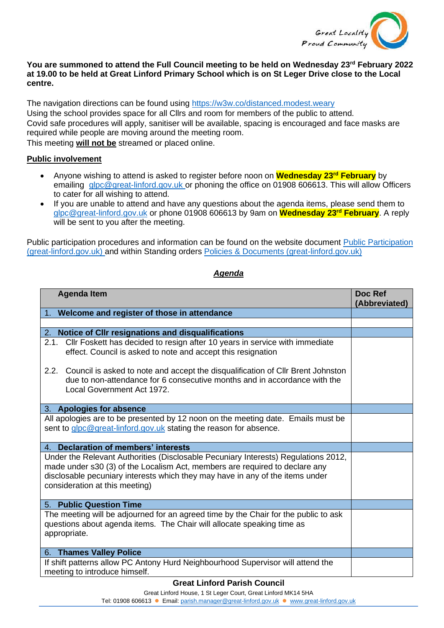

## **You are summoned to attend the Full Council meeting to be held on Wednesday 23rd February 2022 at 19.00 to be held at Great Linford Primary School which is on St Leger Drive close to the Local centre.**

The navigation directions can be found using<https://w3w.co/distanced.modest.weary> Using the school provides space for all Cllrs and room for members of the public to attend. Covid safe procedures will apply, sanitiser will be available, spacing is encouraged and face masks are required while people are moving around the meeting room. This meeting **will not be** streamed or placed online.

**Public involvement** 

- Anyone wishing to attend is asked to register before noon on **Wednesday 23rd February** by emailing [glpc@great-linford.gov.uk](mailto:glpc@great-linford.gov.uk) or phoning the office on 01908 606613. This will allow Officers to cater for all wishing to attend.
- If you are unable to attend and have any questions about the agenda items, please send them to [glpc@great-linford.gov.uk](mailto:glpc@great-linford.gov.uk) or phone 01908 606613 by 9am on **Wednesday 23rd February**. A reply will be sent to you after the meeting.

Public participation procedures and information can be found on the website document [Public Participation](https://www.great-linford.gov.uk/council-meetings/public-participation/)  [\(great-linford.gov.uk\)](https://www.great-linford.gov.uk/council-meetings/public-participation/) and within Standing orders [Policies & Documents \(great-linford.gov.uk\)](https://www.great-linford.gov.uk/the-parish-council/policies-documents/)

## *Agenda*

| <b>Agenda Item</b>                                                                                                                                                                                                                                                                   | Doc Ref<br>(Abbreviated) |
|--------------------------------------------------------------------------------------------------------------------------------------------------------------------------------------------------------------------------------------------------------------------------------------|--------------------------|
| 1. Welcome and register of those in attendance                                                                                                                                                                                                                                       |                          |
|                                                                                                                                                                                                                                                                                      |                          |
| 2. Notice of CIIr resignations and disqualifications                                                                                                                                                                                                                                 |                          |
| 2.1. Cllr Foskett has decided to resign after 10 years in service with immediate<br>effect. Council is asked to note and accept this resignation                                                                                                                                     |                          |
| 2.2. Council is asked to note and accept the disqualification of Cllr Brent Johnston<br>due to non-attendance for 6 consecutive months and in accordance with the<br>Local Government Act 1972.                                                                                      |                          |
| 3. Apologies for absence                                                                                                                                                                                                                                                             |                          |
| All apologies are to be presented by 12 noon on the meeting date. Emails must be<br>sent to glpc@great-linford.gov.uk stating the reason for absence.                                                                                                                                |                          |
| 4. Declaration of members' interests                                                                                                                                                                                                                                                 |                          |
| Under the Relevant Authorities (Disclosable Pecuniary Interests) Regulations 2012,<br>made under s30 (3) of the Localism Act, members are required to declare any<br>disclosable pecuniary interests which they may have in any of the items under<br>consideration at this meeting) |                          |
| 5. Public Question Time                                                                                                                                                                                                                                                              |                          |
| The meeting will be adjourned for an agreed time by the Chair for the public to ask<br>questions about agenda items. The Chair will allocate speaking time as<br>appropriate.                                                                                                        |                          |
| 6. Thames Valley Police                                                                                                                                                                                                                                                              |                          |
| If shift patterns allow PC Antony Hurd Neighbourhood Supervisor will attend the<br>meeting to introduce himself.                                                                                                                                                                     |                          |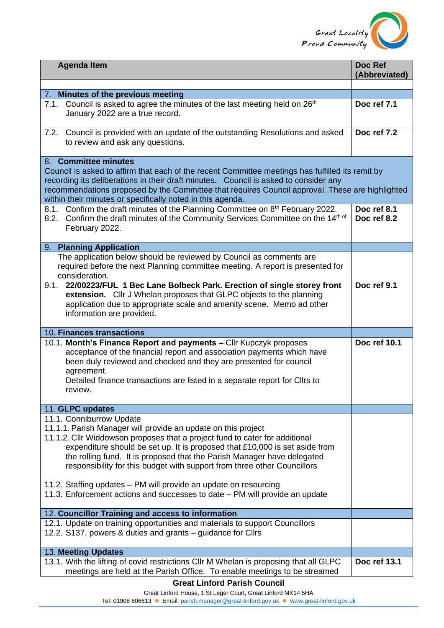

| <b>Agenda Item</b>                                                                                                                                                                                                                                                                                                                                                                                                                 | Doc Ref<br>(Abbreviated)   |
|------------------------------------------------------------------------------------------------------------------------------------------------------------------------------------------------------------------------------------------------------------------------------------------------------------------------------------------------------------------------------------------------------------------------------------|----------------------------|
|                                                                                                                                                                                                                                                                                                                                                                                                                                    |                            |
| 7. Minutes of the previous meeting                                                                                                                                                                                                                                                                                                                                                                                                 |                            |
| 7.1. Council is asked to agree the minutes of the last meeting held on 26 <sup>th</sup><br>January 2022 are a true record.                                                                                                                                                                                                                                                                                                         | Doc ref 7.1                |
| 7.2. Council is provided with an update of the outstanding Resolutions and asked<br>to review and ask any questions.                                                                                                                                                                                                                                                                                                               | Doc ref 7.2                |
| 8. Committee minutes<br>Council is asked to affirm that each of the recent Committee meetings has fulfilled its remit by<br>recording its deliberations in their draft minutes. Council is asked to consider any<br>recommendations proposed by the Committee that requires Council approval. These are highlighted<br>within their minutes or specifically noted in this agenda.                                                  |                            |
| 8.1. Confirm the draft minutes of the Planning Committee on 8th February 2022.<br>8.2. Confirm the draft minutes of the Community Services Committee on the 14th of<br>February 2022.                                                                                                                                                                                                                                              | Doc ref 8.1<br>Doc ref 8.2 |
| 9. Planning Application                                                                                                                                                                                                                                                                                                                                                                                                            |                            |
| The application below should be reviewed by Council as comments are<br>required before the next Planning committee meeting. A report is presented for<br>consideration.<br>9.1. 22/00223/FUL 1 Bec Lane Bolbeck Park. Erection of single storey front<br>extension. Cllr J Whelan proposes that GLPC objects to the planning<br>application due to appropriate scale and amenity scene. Memo ad other<br>information are provided. | Doc ref 9.1                |
| 10. Finances transactions                                                                                                                                                                                                                                                                                                                                                                                                          |                            |
| 10.1. Month's Finance Report and payments - Cllr Kupczyk proposes<br>acceptance of the financial report and association payments which have<br>been duly reviewed and checked and they are presented for council<br>agreement.<br>Detailed finance transactions are listed in a separate report for Cllrs to<br>review.                                                                                                            | Doc ref 10.1               |
| 11. GLPC updates                                                                                                                                                                                                                                                                                                                                                                                                                   |                            |
| 11.1. Conniburrow Update<br>11.1.1. Parish Manager will provide an update on this project<br>11.1.2. Cllr Widdowson proposes that a project fund to cater for additional                                                                                                                                                                                                                                                           |                            |
| expenditure should be set up. It is proposed that £10,000 is set aside from<br>the rolling fund. It is proposed that the Parish Manager have delegated<br>responsibility for this budget with support from three other Councillors<br>11.2. Staffing updates – PM will provide an update on resourcing<br>11.3. Enforcement actions and successes to date – PM will provide an update                                              |                            |
|                                                                                                                                                                                                                                                                                                                                                                                                                                    |                            |
| 12. Councillor Training and access to information<br>12.1. Update on training opportunities and materials to support Councillors<br>12.2. S137, powers & duties and grants - guidance for Cllrs                                                                                                                                                                                                                                    |                            |
| 13. Meeting Updates                                                                                                                                                                                                                                                                                                                                                                                                                |                            |
| 13.1. With the lifting of covid restrictions CIIr M Whelan is proposing that all GLPC<br>meetings are held at the Parish Office. To enable meetings to be streamed<br><b>Great Linford Parish Council</b>                                                                                                                                                                                                                          | Doc ref 13.1               |